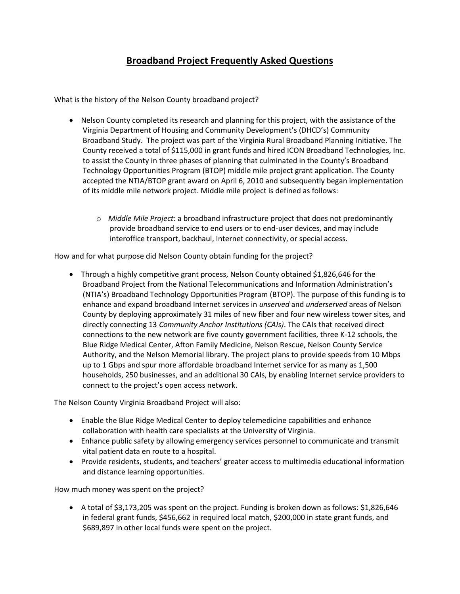## **Broadband Project Frequently Asked Questions**

What is the history of the Nelson County broadband project?

- Nelson County completed its research and planning for this project, with the assistance of the Virginia Department of Housing and Community Development's (DHCD's) Community Broadband Study. The project was part of the Virginia Rural Broadband Planning Initiative. The County received a total of \$115,000 in grant funds and hired ICON Broadband Technologies, Inc. to assist the County in three phases of planning that culminated in the County's Broadband Technology Opportunities Program (BTOP) middle mile project grant application. The County accepted the NTIA/BTOP grant award on April 6, 2010 and subsequently began implementation of its middle mile network project. Middle mile project is defined as follows:
	- o *Middle Mile Project*: a broadband infrastructure project that does not predominantly provide broadband service to end users or to end‐user devices, and may include interoffice transport, backhaul, Internet connectivity, or special access.

How and for what purpose did Nelson County obtain funding for the project?

• Through a highly competitive grant process, Nelson County obtained \$1,826,646 for the Broadband Project from the National Telecommunications and Information Administration's (NTIA's) Broadband Technology Opportunities Program (BTOP). The purpose of this funding is to enhance and expand broadband Internet services in *unserved* and *underserved* areas of Nelson County by deploying approximately 31 miles of new fiber and four new wireless tower sites, and directly connecting 13 *Community Anchor Institutions (CAIs)*. The CAIs that received direct connections to the new network are five county government facilities, three K-12 schools, the Blue Ridge Medical Center, Afton Family Medicine, Nelson Rescue, Nelson County Service Authority, and the Nelson Memorial library. The project plans to provide speeds from 10 Mbps up to 1 Gbps and spur more affordable broadband Internet service for as many as 1,500 households, 250 businesses, and an additional 30 CAIs, by enabling Internet service providers to connect to the project's open access network.

The Nelson County Virginia Broadband Project will also:

- Enable the Blue Ridge Medical Center to deploy telemedicine capabilities and enhance collaboration with health care specialists at the University of Virginia.
- Enhance public safety by allowing emergency services personnel to communicate and transmit vital patient data en route to a hospital.
- Provide residents, students, and teachers' greater access to multimedia educational information and distance learning opportunities.

How much money was spent on the project?

 A total of \$3,173,205 was spent on the project. Funding is broken down as follows: \$1,826,646 in federal grant funds, \$456,662 in required local match, \$200,000 in state grant funds, and \$689,897 in other local funds were spent on the project.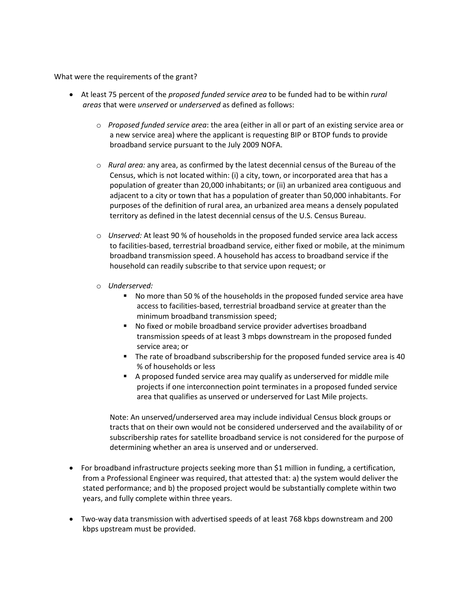What were the requirements of the grant?

- At least 75 percent of the *proposed funded service area* to be funded had to be within *rural areas* that were *unserved* or *underserved* as defined as follows:
	- o *Proposed funded service area*: the area (either in all or part of an existing service area or a new service area) where the applicant is requesting BIP or BTOP funds to provide broadband service pursuant to the July 2009 NOFA.
	- o *Rural area:* any area, as confirmed by the latest decennial census of the Bureau of the Census, which is not located within: (i) a city, town, or incorporated area that has a population of greater than 20,000 inhabitants; or (ii) an urbanized area contiguous and adjacent to a city or town that has a population of greater than 50,000 inhabitants. For purposes of the definition of rural area, an urbanized area means a densely populated territory as defined in the latest decennial census of the U.S. Census Bureau.
	- o *Unserved:* At least 90 % of households in the proposed funded service area lack access to facilities‐based, terrestrial broadband service, either fixed or mobile, at the minimum broadband transmission speed. A household has access to broadband service if the household can readily subscribe to that service upon request; or
	- o *Underserved:* 
		- No more than 50 % of the households in the proposed funded service area have access to facilities‐based, terrestrial broadband service at greater than the minimum broadband transmission speed;
		- No fixed or mobile broadband service provider advertises broadband transmission speeds of at least 3 mbps downstream in the proposed funded service area; or
		- The rate of broadband subscribership for the proposed funded service area is 40 % of households or less
		- A proposed funded service area may qualify as underserved for middle mile projects if one interconnection point terminates in a proposed funded service area that qualifies as unserved or underserved for Last Mile projects.

Note: An unserved/underserved area may include individual Census block groups or tracts that on their own would not be considered underserved and the availability of or subscribership rates for satellite broadband service is not considered for the purpose of determining whether an area is unserved and or underserved.

- For broadband infrastructure projects seeking more than \$1 million in funding, a certification, from a Professional Engineer was required, that attested that: a) the system would deliver the stated performance; and b) the proposed project would be substantially complete within two years, and fully complete within three years.
- Two-way data transmission with advertised speeds of at least 768 kbps downstream and 200 kbps upstream must be provided.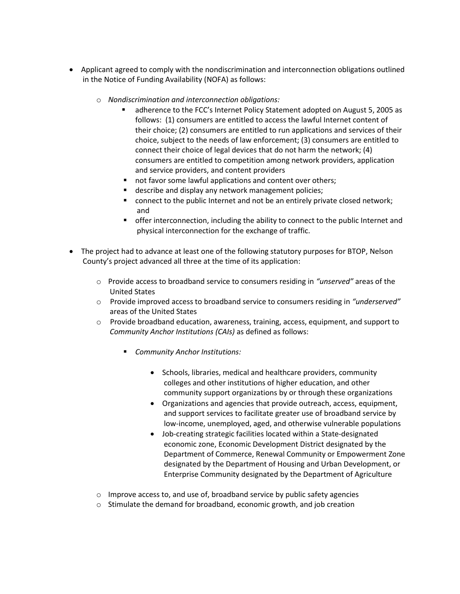- Applicant agreed to comply with the nondiscrimination and interconnection obligations outlined in the Notice of Funding Availability (NOFA) as follows:
	- o *Nondiscrimination and interconnection obligations:*
		- adherence to the FCC's Internet Policy Statement adopted on August 5, 2005 as follows: (1) consumers are entitled to access the lawful Internet content of their choice; (2) consumers are entitled to run applications and services of their choice, subject to the needs of law enforcement; (3) consumers are entitled to connect their choice of legal devices that do not harm the network; (4) consumers are entitled to competition among network providers, application and service providers, and content providers
		- not favor some lawful applications and content over others;
		- **describe and display any network management policies;**
		- **EX CONNUCT CONNUCTER 1** connect to the public Internet and not be an entirely private closed network; and
		- **•** offer interconnection, including the ability to connect to the public Internet and physical interconnection for the exchange of traffic.
- The project had to advance at least one of the following statutory purposes for BTOP, Nelson County's project advanced all three at the time of its application:
	- o Provide access to broadband service to consumers residing in *"unserved"* areas of the United States
	- o Provide improved access to broadband service to consumers residing in *"underserved"* areas of the United States
	- o Provide broadband education, awareness, training, access, equipment, and support to *Community Anchor Institutions (CAIs)* as defined as follows:
		- *Community Anchor Institutions:*
			- Schools, libraries, medical and healthcare providers, community colleges and other institutions of higher education, and other community support organizations by or through these organizations
			- Organizations and agencies that provide outreach, access, equipment, and support services to facilitate greater use of broadband service by low‐income, unemployed, aged, and otherwise vulnerable populations
			- Job-creating strategic facilities located within a State-designated economic zone, Economic Development District designated by the Department of Commerce, Renewal Community or Empowerment Zone designated by the Department of Housing and Urban Development, or Enterprise Community designated by the Department of Agriculture
	- $\circ$  Improve access to, and use of, broadband service by public safety agencies
	- $\circ$  Stimulate the demand for broadband, economic growth, and job creation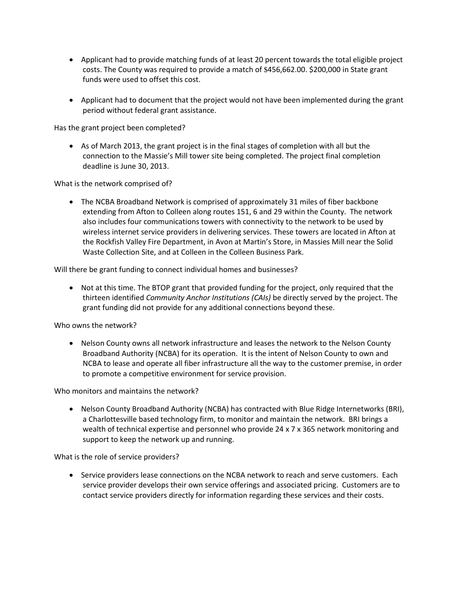- Applicant had to provide matching funds of at least 20 percent towards the total eligible project costs. The County was required to provide a match of \$456,662.00. \$200,000 in State grant funds were used to offset this cost.
- Applicant had to document that the project would not have been implemented during the grant period without federal grant assistance.

Has the grant project been completed?

 As of March 2013, the grant project is in the final stages of completion with all but the connection to the Massie's Mill tower site being completed. The project final completion deadline is June 30, 2013.

What is the network comprised of?

 The NCBA Broadband Network is comprised of approximately 31 miles of fiber backbone extending from Afton to Colleen along routes 151, 6 and 29 within the County. The network also includes four communications towers with connectivity to the network to be used by wireless internet service providers in delivering services. These towers are located in Afton at the Rockfish Valley Fire Department, in Avon at Martin's Store, in Massies Mill near the Solid Waste Collection Site, and at Colleen in the Colleen Business Park.

Will there be grant funding to connect individual homes and businesses?

• Not at this time. The BTOP grant that provided funding for the project, only required that the thirteen identified *Community Anchor Institutions (CAIs)* be directly served by the project. The grant funding did not provide for any additional connections beyond these.

Who owns the network?

• Nelson County owns all network infrastructure and leases the network to the Nelson County Broadband Authority (NCBA) for its operation. It is the intent of Nelson County to own and NCBA to lease and operate all fiber infrastructure all the way to the customer premise, in order to promote a competitive environment for service provision.

Who monitors and maintains the network?

• Nelson County Broadband Authority (NCBA) has contracted with Blue Ridge Internetworks (BRI), a Charlottesville based technology firm, to monitor and maintain the network. BRI brings a wealth of technical expertise and personnel who provide 24 x 7 x 365 network monitoring and support to keep the network up and running.

What is the role of service providers?

• Service providers lease connections on the NCBA network to reach and serve customers. Each service provider develops their own service offerings and associated pricing. Customers are to contact service providers directly for information regarding these services and their costs.